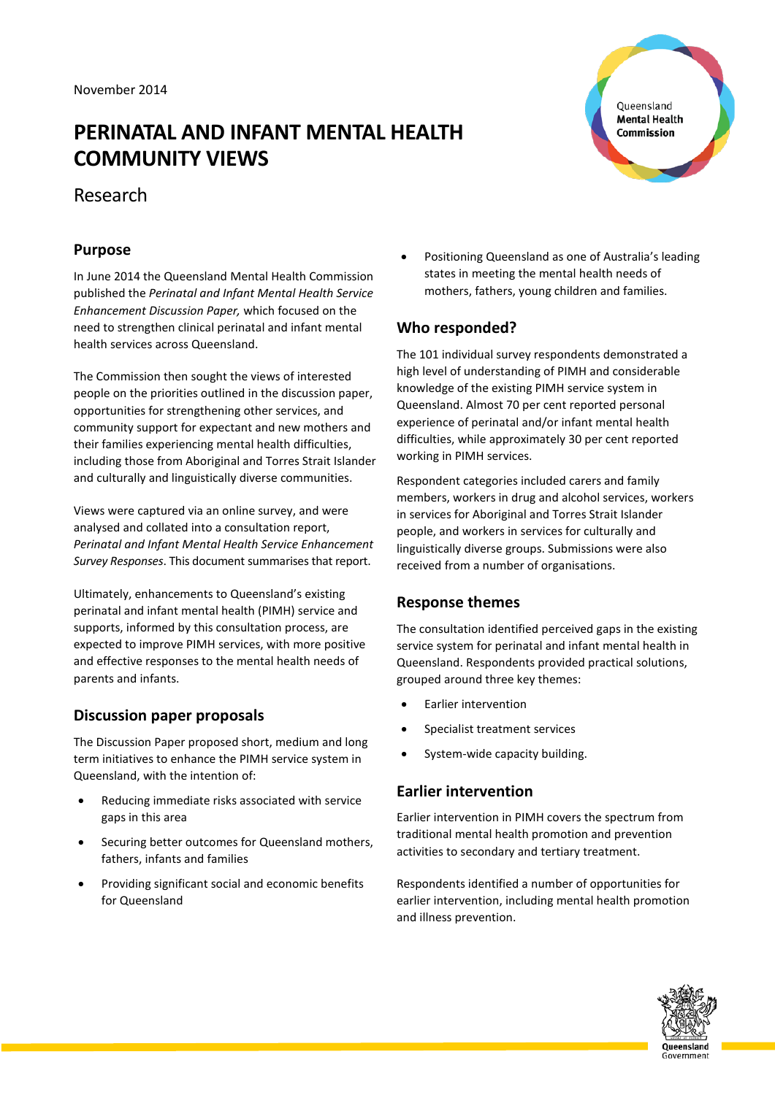# **PERINATAL AND INFANT MENTAL HEALTH COMMUNITY VIEWS**

Queensland **Mental Health** Commission

# Research

### **Purpose**

In June 2014 the Queensland Mental Health Commission published the *Perinatal and Infant Mental Health Service Enhancement Discussion Paper,* which focused on the need to strengthen clinical perinatal and infant mental health services across Queensland.

The Commission then sought the views of interested people on the priorities outlined in the discussion paper, opportunities for strengthening other services, and community support for expectant and new mothers and their families experiencing mental health difficulties, including those from Aboriginal and Torres Strait Islander and culturally and linguistically diverse communities.

Views were captured via an online survey, and were analysed and collated into a consultation report, *Perinatal and Infant Mental Health Service Enhancement Survey Responses*. This document summarises that report.

Ultimately, enhancements to Queensland's existing perinatal and infant mental health (PIMH) service and supports, informed by this consultation process, are expected to improve PIMH services, with more positive and effective responses to the mental health needs of parents and infants.

# **Discussion paper proposals**

The Discussion Paper proposed short, medium and long term initiatives to enhance the PIMH service system in Queensland, with the intention of:

- Reducing immediate risks associated with service gaps in this area
- Securing better outcomes for Queensland mothers, fathers, infants and families
- Providing significant social and economic benefits for Queensland

• Positioning Queensland as one of Australia's leading states in meeting the mental health needs of mothers, fathers, young children and families.

# **Who responded?**

The 101 individual survey respondents demonstrated a high level of understanding of PIMH and considerable knowledge of the existing PIMH service system in Queensland. Almost 70 per cent reported personal experience of perinatal and/or infant mental health difficulties, while approximately 30 per cent reported working in PIMH services.

Respondent categories included carers and family members, workers in drug and alcohol services, workers in services for Aboriginal and Torres Strait Islander people, and workers in services for culturally and linguistically diverse groups. Submissions were also received from a number of organisations.

### **Response themes**

The consultation identified perceived gaps in the existing service system for perinatal and infant mental health in Queensland. Respondents provided practical solutions, grouped around three key themes:

- Earlier intervention
- Specialist treatment services
- System-wide capacity building.

# **Earlier intervention**

Earlier intervention in PIMH covers the spectrum from traditional mental health promotion and prevention activities to secondary and tertiary treatment.

Respondents identified a number of opportunities for earlier intervention, including mental health promotion and illness prevention.

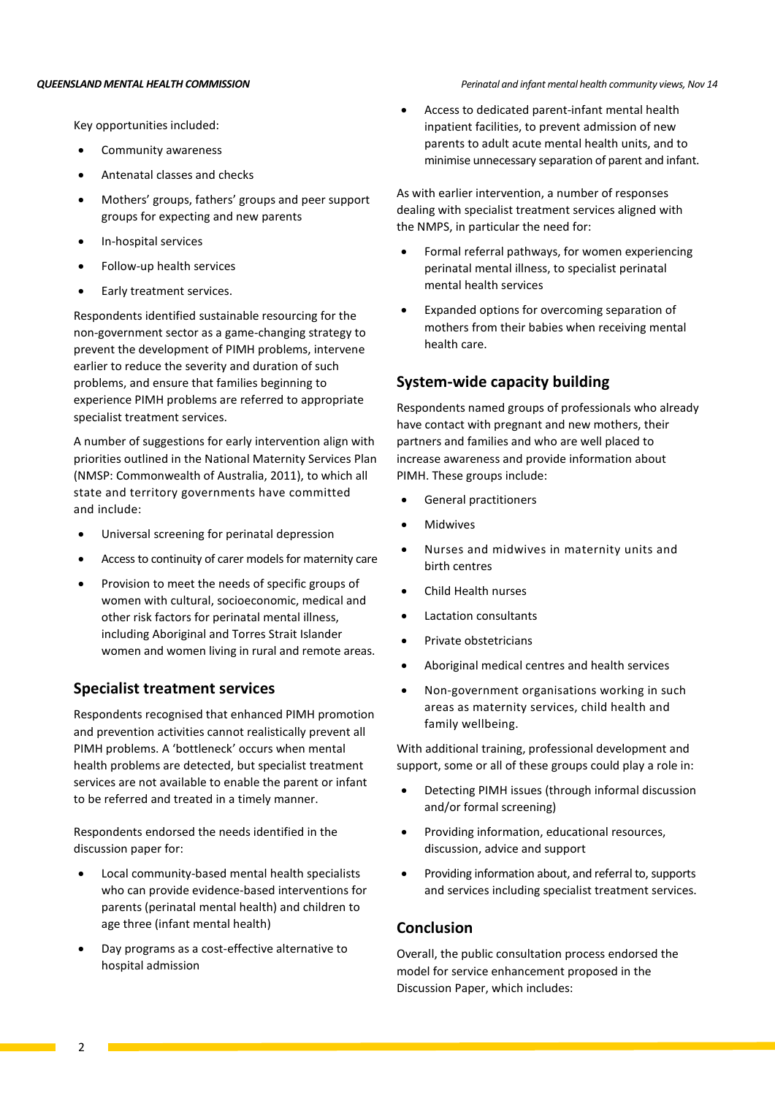Key opportunities included:

- Community awareness
- Antenatal classes and checks
- Mothers' groups, fathers' groups and peer support groups for expecting and new parents
- In-hospital services
- Follow-up health services
- Early treatment services.

Respondents identified sustainable resourcing for the non-government sector as a game-changing strategy to prevent the development of PIMH problems, intervene earlier to reduce the severity and duration of such problems, and ensure that families beginning to experience PIMH problems are referred to appropriate specialist treatment services.

A number of suggestions for early intervention align with priorities outlined in the National Maternity Services Plan (NMSP: Commonwealth of Australia, 2011), to which all state and territory governments have committed and include:

- Universal screening for perinatal depression
- Access to continuity of carer models for maternity care
- Provision to meet the needs of specific groups of women with cultural, socioeconomic, medical and other risk factors for perinatal mental illness, including Aboriginal and Torres Strait Islander women and women living in rural and remote areas.

### **Specialist treatment services**

Respondents recognised that enhanced PIMH promotion and prevention activities cannot realistically prevent all PIMH problems. A 'bottleneck' occurs when mental health problems are detected, but specialist treatment services are not available to enable the parent or infant to be referred and treated in a timely manner.

Respondents endorsed the needs identified in the discussion paper for:

- Local community-based mental health specialists who can provide evidence-based interventions for parents (perinatal mental health) and children to age three (infant mental health)
- Day programs as a cost-effective alternative to hospital admission
- *QUEENSLAND MENTAL HEALTH COMMISSION Perinatal and infant mental health community views, Nov 14*
	- Access to dedicated parent-infant mental health inpatient facilities, to prevent admission of new parents to adult acute mental health units, and to minimise unnecessary separation of parent and infant.

As with earlier intervention, a number of responses dealing with specialist treatment services aligned with the NMPS, in particular the need for:

- Formal referral pathways, for women experiencing perinatal mental illness, to specialist perinatal mental health services
- Expanded options for overcoming separation of mothers from their babies when receiving mental health care.

### **System-wide capacity building**

Respondents named groups of professionals who already have contact with pregnant and new mothers, their partners and families and who are well placed to increase awareness and provide information about PIMH. These groups include:

- General practitioners
- **Midwives**
- Nurses and midwives in maternity units and birth centres
- Child Health nurses
- Lactation consultants
- Private obstetricians
- Aboriginal medical centres and health services
- Non-government organisations working in such areas as maternity services, child health and family wellbeing.

With additional training, professional development and support, some or all of these groups could play a role in:

- Detecting PIMH issues (through informal discussion and/or formal screening)
- Providing information, educational resources, discussion, advice and support
- Providing information about, and referral to, supports and services including specialist treatment services.

### **Conclusion**

Overall, the public consultation process endorsed the model for service enhancement proposed in the Discussion Paper, which includes: